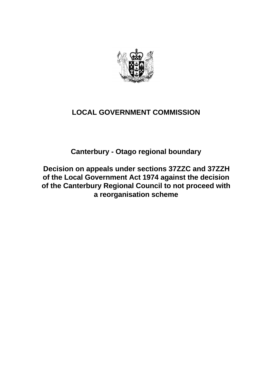

# **LOCAL GOVERNMENT COMMISSION**

**Canterbury - Otago regional boundary**

**Decision on appeals under sections 37ZZC and 37ZZH of the Local Government Act 1974 against the decision of the Canterbury Regional Council to not proceed with a reorganisation scheme**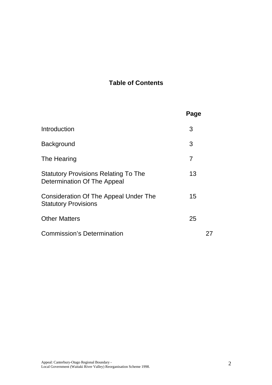# **Table of Contents**

|                                                                            | Page           |  |
|----------------------------------------------------------------------------|----------------|--|
| Introduction                                                               | 3              |  |
| Background                                                                 | 3              |  |
| The Hearing                                                                | $\overline{7}$ |  |
| <b>Statutory Provisions Relating To The</b><br>Determination Of The Appeal | 13             |  |
| Consideration Of The Appeal Under The<br><b>Statutory Provisions</b>       | 15             |  |
| <b>Other Matters</b>                                                       | 25             |  |
| <b>Commission's Determination</b>                                          |                |  |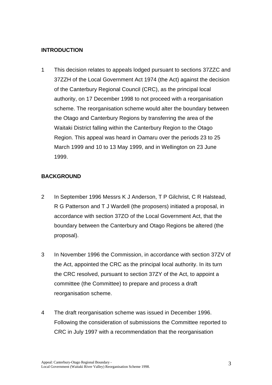## **INTRODUCTION**

1 This decision relates to appeals lodged pursuant to sections 37ZZC and 37ZZH of the Local Government Act 1974 (the Act) against the decision of the Canterbury Regional Council (CRC), as the principal local authority, on 17 December 1998 to not proceed with a reorganisation scheme. The reorganisation scheme would alter the boundary between the Otago and Canterbury Regions by transferring the area of the Waitaki District falling within the Canterbury Region to the Otago Region. This appeal was heard in Oamaru over the periods 23 to 25 March 1999 and 10 to 13 May 1999, and in Wellington on 23 June 1999.

### **BACKGROUND**

- 2 In September 1996 Messrs K J Anderson, T P Gilchrist, C R Halstead, R G Patterson and T J Wardell (the proposers) initiated a proposal, in accordance with section 37ZO of the Local Government Act, that the boundary between the Canterbury and Otago Regions be altered (the proposal).
- 3 In November 1996 the Commission, in accordance with section 37ZV of the Act, appointed the CRC as the principal local authority. In its turn the CRC resolved, pursuant to section 37ZY of the Act, to appoint a committee (the Committee) to prepare and process a draft reorganisation scheme.
- 4 The draft reorganisation scheme was issued in December 1996. Following the consideration of submissions the Committee reported to CRC in July 1997 with a recommendation that the reorganisation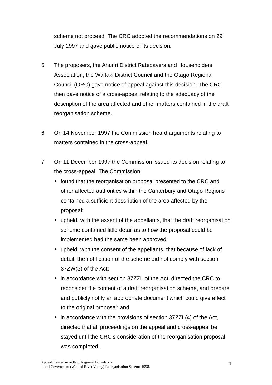scheme not proceed. The CRC adopted the recommendations on 29 July 1997 and gave public notice of its decision.

- 5 The proposers, the Ahuriri District Ratepayers and Householders Association, the Waitaki District Council and the Otago Regional Council (ORC) gave notice of appeal against this decision. The CRC then gave notice of a cross-appeal relating to the adequacy of the description of the area affected and other matters contained in the draft reorganisation scheme.
- 6 On 14 November 1997 the Commission heard arguments relating to matters contained in the cross-appeal.
- 7 On 11 December 1997 the Commission issued its decision relating to the cross-appeal. The Commission:
	- found that the reorganisation proposal presented to the CRC and other affected authorities within the Canterbury and Otago Regions contained a sufficient description of the area affected by the proposal;
	- upheld, with the assent of the appellants, that the draft reorganisation scheme contained little detail as to how the proposal could be implemented had the same been approved;
	- upheld, with the consent of the appellants, that because of lack of detail, the notification of the scheme did not comply with section 37ZW(3) of the Act;
	- in accordance with section 37ZZL of the Act, directed the CRC to reconsider the content of a draft reorganisation scheme, and prepare and publicly notify an appropriate document which could give effect to the original proposal; and
	- in accordance with the provisions of section 37ZZL(4) of the Act, directed that all proceedings on the appeal and cross-appeal be stayed until the CRC's consideration of the reorganisation proposal was completed.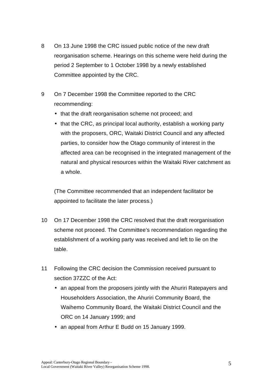- 8 On 13 June 1998 the CRC issued public notice of the new draft reorganisation scheme. Hearings on this scheme were held during the period 2 September to 1 October 1998 by a newly established Committee appointed by the CRC.
- 9 On 7 December 1998 the Committee reported to the CRC recommending:
	- that the draft reorganisation scheme not proceed; and
	- that the CRC, as principal local authority, establish a working party with the proposers, ORC, Waitaki District Council and any affected parties, to consider how the Otago community of interest in the affected area can be recognised in the integrated management of the natural and physical resources within the Waitaki River catchment as a whole.

(The Committee recommended that an independent facilitator be appointed to facilitate the later process.)

- 10 On 17 December 1998 the CRC resolved that the draft reorganisation scheme not proceed. The Committee's recommendation regarding the establishment of a working party was received and left to lie on the table.
- 11 Following the CRC decision the Commission received pursuant to section 37ZZC of the Act:
	- an appeal from the proposers jointly with the Ahuriri Ratepayers and Householders Association, the Ahuriri Community Board, the Waihemo Community Board, the Waitaki District Council and the ORC on 14 January 1999; and
	- an appeal from Arthur E Budd on 15 January 1999.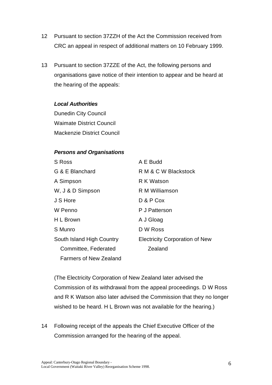- 12 Pursuant to section 37ZZH of the Act the Commission received from CRC an appeal in respect of additional matters on 10 February 1999.
- 13 Pursuant to section 37ZZE of the Act, the following persons and organisations gave notice of their intention to appear and be heard at the hearing of the appeals:

#### *Local Authorities*

Dunedin City Council Waimate District Council Mackenzie District Council

#### *Persons and Organisations*

| S Ross                        | A E Budd                              |
|-------------------------------|---------------------------------------|
| G & E Blanchard               | R M & C W Blackstock                  |
| A Simpson                     | R K Watson                            |
| W, J & D Simpson              | R M Williamson                        |
| J S Hore                      | D & P Cox                             |
| W Penno                       | P J Patterson                         |
| H L Brown                     | A J Gloag                             |
| S Munro                       | D W Ross                              |
| South Island High Country     | <b>Electricity Corporation of New</b> |
| Committee, Federated          | Zealand                               |
| <b>Farmers of New Zealand</b> |                                       |

(The Electricity Corporation of New Zealand later advised the Commission of its withdrawal from the appeal proceedings. D W Ross and R K Watson also later advised the Commission that they no longer wished to be heard. H L Brown was not available for the hearing.)

14 Following receipt of the appeals the Chief Executive Officer of the Commission arranged for the hearing of the appeal.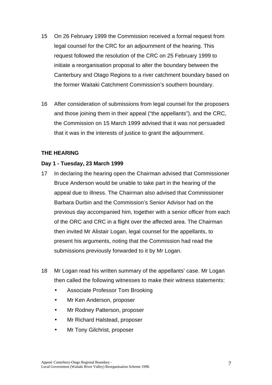- 15 On 26 February 1999 the Commission received a formal request from legal counsel for the CRC for an adjournment of the hearing. This request followed the resolution of the CRC on 25 February 1999 to initiate a reorganisation proposal to alter the boundary between the Canterbury and Otago Regions to a river catchment boundary based on the former Waitaki Catchment Commission's southern boundary.
- 16 After consideration of submissions from legal counsel for the proposers and those joining them in their appeal ("the appellants"), and the CRC, the Commission on 15 March 1999 advised that it was not persuaded that it was in the interests of justice to grant the adjournment.

### **THE HEARING**

#### **Day 1 - Tuesday, 23 March 1999**

- 17 In declaring the hearing open the Chairman advised that Commissioner Bruce Anderson would be unable to take part in the hearing of the appeal due to illness. The Chairman also advised that Commissioner Barbara Durbin and the Commission's Senior Advisor had on the previous day accompanied him, together with a senior officer from each of the ORC and CRC in a flight over the affected area. The Chairman then invited Mr Alistair Logan, legal counsel for the appellants, to present his arguments, noting that the Commission had read the submissions previously forwarded to it by Mr Logan.
- 18 Mr Logan read his written summary of the appellants' case. Mr Logan then called the following witnesses to make their witness statements:
	- Associate Professor Tom Brooking
	- Mr Ken Anderson, proposer
	- Mr Rodney Patterson, proposer
	- Mr Richard Halstead, proposer
	- Mr Tony Gilchrist, proposer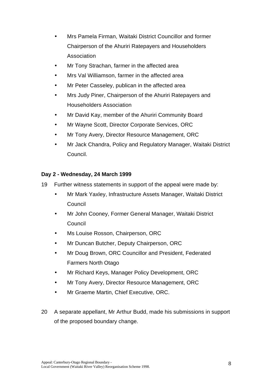- Mrs Pamela Firman, Waitaki District Councillor and former Chairperson of the Ahuriri Ratepayers and Householders Association
- Mr Tony Strachan, farmer in the affected area
- Mrs Val Williamson, farmer in the affected area
- Mr Peter Casseley, publican in the affected area
- Mrs Judy Piner, Chairperson of the Ahuriri Ratepayers and Householders Association
- Mr David Kay, member of the Ahuriri Community Board
- Mr Wayne Scott, Director Corporate Services, ORC
- Mr Tony Avery, Director Resource Management, ORC
- Mr Jack Chandra, Policy and Regulatory Manager, Waitaki District Council.

### **Day 2 - Wednesday, 24 March 1999**

- 19 Further witness statements in support of the appeal were made by:
	- Mr Mark Yaxley, Infrastructure Assets Manager, Waitaki District Council
	- Mr John Cooney, Former General Manager, Waitaki District Council
	- Ms Louise Rosson, Chairperson, ORC
	- Mr Duncan Butcher, Deputy Chairperson, ORC
	- Mr Doug Brown, ORC Councillor and President, Federated Farmers North Otago
	- Mr Richard Keys, Manager Policy Development, ORC
	- Mr Tony Avery, Director Resource Management, ORC
	- Mr Graeme Martin, Chief Executive, ORC.
- 20 A separate appellant, Mr Arthur Budd, made his submissions in support of the proposed boundary change.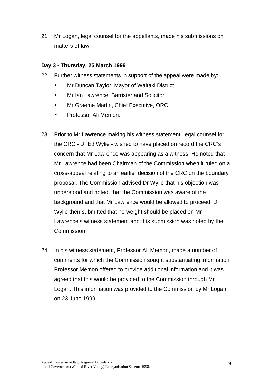21 Mr Logan, legal counsel for the appellants, made his submissions on matters of law.

### **Day 3 - Thursday, 25 March 1999**

- 22 Further witness statements in support of the appeal were made by:
	- Mr Duncan Taylor, Mayor of Waitaki District
	- Mr Ian Lawrence, Barrister and Solicitor
	- Mr Graeme Martin, Chief Executive, ORC
	- Professor Ali Memon.
- 23 Prior to Mr Lawrence making his witness statement, legal counsel for the CRC - Dr Ed Wylie - wished to have placed on record the CRC's concern that Mr Lawrence was appearing as a witness. He noted that Mr Lawrence had been Chairman of the Commission when it ruled on a cross-appeal relating to an earlier decision of the CRC on the boundary proposal. The Commission advised Dr Wylie that his objection was understood and noted, that the Commission was aware of the background and that Mr Lawrence would be allowed to proceed. Dr Wylie then submitted that no weight should be placed on Mr Lawrence's witness statement and this submission was noted by the Commission.
- 24 In his witness statement, Professor Ali Memon, made a number of comments for which the Commission sought substantiating information. Professor Memon offered to provide additional information and it was agreed that this would be provided to the Commission through Mr Logan. This information was provided to the Commission by Mr Logan on 23 June 1999.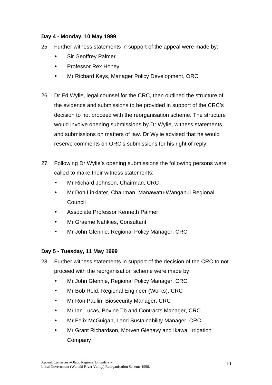### **Day 4 - Monday, 10 May 1999**

- 25 Further witness statements in support of the appeal were made by:
	- Sir Geoffrey Palmer
	- Professor Rex Honey
	- Mr Richard Keys, Manager Policy Development, ORC.
- 26 Dr Ed Wylie, legal counsel for the CRC, then outlined the structure of the evidence and submissions to be provided in support of the CRC's decision to not proceed with the reorganisation scheme. The structure would involve opening submissions by Dr Wylie, witness statements and submissions on matters of law. Dr Wylie advised that he would reserve comments on ORC's submissions for his right of reply.
- 27 Following Dr Wylie's opening submissions the following persons were called to make their witness statements:
	- Mr Richard Johnson, Chairman, CRC
	- Mr Don Linklater, Chairman, Manawatu-Wanganui Regional **Council**
	- Associate Professor Kenneth Palmer
	- Mr Graeme Nahkies, Consultant
	- Mr John Glennie, Regional Policy Manager, CRC.

### **Day 5 - Tuesday, 11 May 1999**

- 28 Further witness statements in support of the decision of the CRC to not proceed with the reorganisation scheme were made by:
	- Mr John Glennie, Regional Policy Manager, CRC
	- Mr Bob Reid, Regional Engineer (Works), CRC
	- Mr Ron Paulin, Biosecurity Manager, CRC
	- Mr Ian Lucas, Bovine Tb and Contracts Manager, CRC
	- Mr Felix McGuigan, Land Sustainability Manager, CRC
	- Mr Grant Richardson, Morven Glenavy and Ikawai Irrigation Company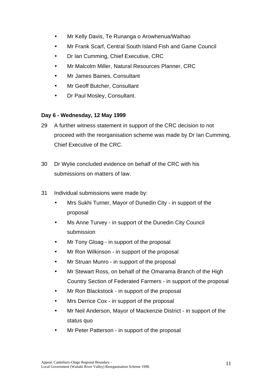- Mr Kelly Davis, Te Runanga o Arowhenua/Waihao
- Mr Frank Scarf, Central South Island Fish and Game Council
- Dr Ian Cumming, Chief Executive, CRC
- Mr Malcolm Miller, Natural Resources Planner, CRC
- Mr James Baines, Consultant
- Mr Geoff Butcher, Consultant
- Dr Paul Mosley, Consultant.

### **Day 6 - Wednesday, 12 May 1999**

- 29 A further witness statement in support of the CRC decision to not proceed with the reorganisation scheme was made by Dr Ian Cumming, Chief Executive of the CRC.
- 30 Dr Wylie concluded evidence on behalf of the CRC with his submissions on matters of law.
- 31 Individual submissions were made by:
	- Mrs Sukhi Turner, Mayor of Dunedin City in support of the proposal
	- Ms Anne Turvey in support of the Dunedin City Council submission
	- Mr Tony Gloag in support of the proposal
	- Mr Ron Wilkinson in support of the proposal
	- Mr Struan Munro in support of the proposal
	- Mr Stewart Ross, on behalf of the Omarama Branch of the High Country Section of Federated Farmers - in support of the proposal
	- Mr Ron Blackstock in support of the proposal
	- Mrs Derrice Cox in support of the proposal
	- Mr Neil Anderson, Mayor of Mackenzie District in support of the status quo
	- Mr Peter Patterson in support of the proposal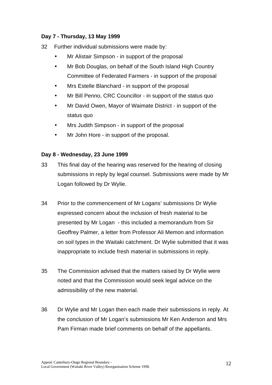### **Day 7 - Thursday, 13 May 1999**

- 32 Further individual submissions were made by:
	- Mr Alistair Simpson in support of the proposal
	- Mr Bob Douglas, on behalf of the South Island High Country Committee of Federated Farmers - in support of the proposal
	- Mrs Estelle Blanchard in support of the proposal
	- Mr Bill Penno, CRC Councillor in support of the status quo
	- Mr David Owen, Mayor of Waimate District in support of the status quo
	- Mrs Judith Simpson in support of the proposal
	- Mr John Hore in support of the proposal.

### **Day 8 - Wednesday, 23 June 1999**

- 33 This final day of the hearing was reserved for the hearing of closing submissions in reply by legal counsel. Submissions were made by Mr Logan followed by Dr Wylie.
- 34 Prior to the commencement of Mr Logans' submissions Dr Wylie expressed concern about the inclusion of fresh material to be presented by Mr Logan - this included a memorandum from Sir Geoffrey Palmer, a letter from Professor Ali Memon and information on soil types in the Waitaki catchment. Dr Wylie submitted that it was inappropriate to include fresh material in submissions in reply.
- 35 The Commission advised that the matters raised by Dr Wylie were noted and that the Commission would seek legal advice on the admissibility of the new material.
- 36 Dr Wylie and Mr Logan then each made their submissions in reply. At the conclusion of Mr Logan's submissions Mr Ken Anderson and Mrs Pam Firman made brief comments on behalf of the appellants.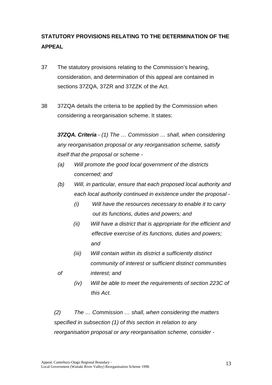# **STATUTORY PROVISIONS RELATING TO THE DETERMINATION OF THE APPEAL**

- 37 The statutory provisions relating to the Commission's hearing, consideration, and determination of this appeal are contained in sections 37ZQA, 37ZR and 37ZZK of the Act.
- 38 37ZQA details the criteria to be applied by the Commission when considering a reorganisation scheme. It states:

*37ZQA. Criteria - (1) The … Commission … shall, when considering any reorganisation proposal or any reorganisation scheme, satisfy itself that the proposal or scheme -*

- *(a) Will promote the good local government of the districts concerned; and*
- *(b) Will, in particular, ensure that each proposed local authority and each local authority continued in existence under the proposal -*
	- *(i) Will have the resources necessary to enable it to carry out its functions, duties and powers; and*
	- *(ii) Will have a district that is appropriate for the efficient and effective exercise of its functions, duties and powers; and*
- *(iii) Will contain within its district a sufficiently distinct community of interest or sufficient distinct communities of interest; and*
- 
- *(iv) Will be able to meet the requirements of section 223C of this Act.*

*(2) The … Commission … shall, when considering the matters specified in subsection (1) of this section in relation to any reorganisation proposal or any reorganisation scheme, consider -*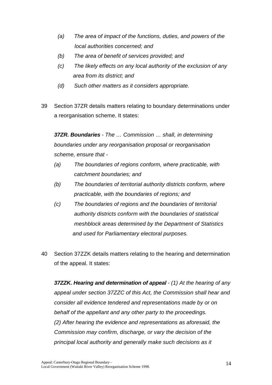- *(a) The area of impact of the functions, duties, and powers of the local authorities concerned; and*
- *(b) The area of benefit of services provided; and*
- *(c) The likely effects on any local authority of the exclusion of any area from its district; and*
- *(d) Such other matters as it considers appropriate.*
- 39 Section 37ZR details matters relating to boundary determinations under a reorganisation scheme. It states:

*37ZR. Boundaries* - *The … Commission … shall, in determining boundaries under any reorganisation proposal or reorganisation scheme, ensure that -*

- *(a) The boundaries of regions conform, where practicable, with catchment boundaries; and*
- *(b) The boundaries of territorial authority districts conform, where practicable, with the boundaries of regions; and*
- *(c) The boundaries of regions and the boundaries of territorial authority districts conform with the boundaries of statistical meshblock areas determined by the Department of Statistics and used for Parliamentary electoral purposes.*
- 40 Section 37ZZK details matters relating to the hearing and determination of the appeal. It states:

*37ZZK. Hearing and determination of appeal* - *(1) At the hearing of any appeal under section 37ZZC of this Act, the Commission shall hear and consider all evidence tendered and representations made by or on behalf of the appellant and any other party to the proceedings. (2) After hearing the evidence and representations as aforesaid, the Commission may confirm, discharge, or vary the decision of the principal local authority and generally make such decisions as it*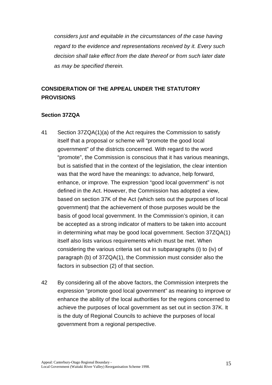*considers just and equitable in the circumstances of the case having regard to the evidence and representations received by it. Every such decision shall take effect from the date thereof or from such later date as may be specified therein.*

## **CONSIDERATION OF THE APPEAL UNDER THE STATUTORY PROVISIONS**

### **Section 37ZQA**

- 41 Section 37ZQA(1)(a) of the Act requires the Commission to satisfy itself that a proposal or scheme will "promote the good local government" of the districts concerned. With regard to the word "promote", the Commission is conscious that it has various meanings, but is satisfied that in the context of the legislation, the clear intention was that the word have the meanings: to advance, help forward, enhance, or improve. The expression "good local government" is not defined in the Act. However, the Commission has adopted a view, based on section 37K of the Act (which sets out the purposes of local government) that the achievement of those purposes would be the basis of good local government. In the Commission's opinion, it can be accepted as a strong indicator of matters to be taken into account in determining what may be good local government. Section 37ZQA(1) itself also lists various requirements which must be met. When considering the various criteria set out in subparagraphs (i) to (iv) of paragraph (b) of 37ZQA(1), the Commission must consider also the factors in subsection (2) of that section.
- 42 By considering all of the above factors, the Commission interprets the expression "promote good local government" as meaning to improve or enhance the ability of the local authorities for the regions concerned to achieve the purposes of local government as set out in section 37K. It is the duty of Regional Councils to achieve the purposes of local government from a regional perspective.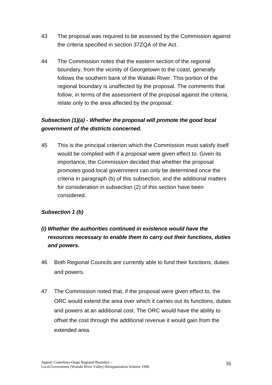- 43 The proposal was required to be assessed by the Commission against the criteria specified in section 37ZQA of the Act.
- 44 The Commission notes that the eastern section of the regional boundary, from the vicinity of Georgetown to the coast, generally follows the southern bank of the Waitaki River. This portion of the regional boundary is unaffected by the proposal. The comments that follow, in terms of the assessment of the proposal against the criteria, relate only to the area affected by the proposal.

## *Subsection (1)(a) - Whether the proposal will promote the good local government of the districts concerned.*

45 This is the principal criterion which the Commission must satisfy itself would be complied with if a proposal were given effect to. Given its importance, the Commission decided that whether the proposal promotes good local government can only be determined once the criteria in paragraph (b) of this subsection, and the additional matters for consideration in subsection (2) of this section have been considered.

## *Subsection 1 (b)*

## *(i) Whether the authorities continued in existence would have the resources necessary to enable them to carry out their functions, duties and powers.*

- 46 Both Regional Councils are currently able to fund their functions, duties and powers.
- 47 The Commission noted that, if the proposal were given effect to, the ORC would extend the area over which it carries out its functions, duties and powers at an additional cost. The ORC would have the ability to offset the cost through the additional revenue it would gain from the extended area.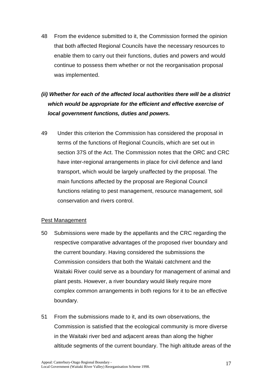48 From the evidence submitted to it, the Commission formed the opinion that both affected Regional Councils have the necessary resources to enable them to carry out their functions, duties and powers and would continue to possess them whether or not the reorganisation proposal was implemented.

# *(ii) Whether for each of the affected local authorities there will be a district which would be appropriate for the efficient and effective exercise of local government functions, duties and powers.*

49 Under this criterion the Commission has considered the proposal in terms of the functions of Regional Councils, which are set out in section 37S of the Act. The Commission notes that the ORC and CRC have inter-regional arrangements in place for civil defence and land transport, which would be largely unaffected by the proposal. The main functions affected by the proposal are Regional Council functions relating to pest management, resource management, soil conservation and rivers control.

#### Pest Management

- 50 Submissions were made by the appellants and the CRC regarding the respective comparative advantages of the proposed river boundary and the current boundary. Having considered the submissions the Commission considers that both the Waitaki catchment and the Waitaki River could serve as a boundary for management of animal and plant pests. However, a river boundary would likely require more complex common arrangements in both regions for it to be an effective boundary.
- 51 From the submissions made to it, and its own observations, the Commission is satisfied that the ecological community is more diverse in the Waitaki river bed and adjacent areas than along the higher altitude segments of the current boundary. The high altitude areas of the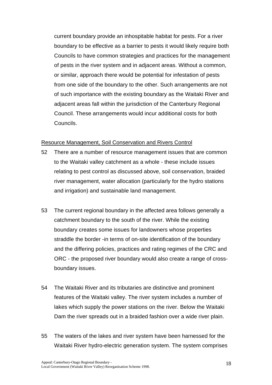current boundary provide an inhospitable habitat for pests. For a river boundary to be effective as a barrier to pests it would likely require both Councils to have common strategies and practices for the management of pests in the river system and in adjacent areas. Without a common, or similar, approach there would be potential for infestation of pests from one side of the boundary to the other. Such arrangements are not of such importance with the existing boundary as the Waitaki River and adjacent areas fall within the jurisdiction of the Canterbury Regional Council. These arrangements would incur additional costs for both Councils.

#### Resource Management, Soil Conservation and Rivers Control

- 52 There are a number of resource management issues that are common to the Waitaki valley catchment as a whole - these include issues relating to pest control as discussed above, soil conservation, braided river management, water allocation (particularly for the hydro stations and irrigation) and sustainable land management.
- 53 The current regional boundary in the affected area follows generally a catchment boundary to the south of the river. While the existing boundary creates some issues for landowners whose properties straddle the border -in terms of on-site identification of the boundary and the differing policies, practices and rating regimes of the CRC and ORC - the proposed river boundary would also create a range of crossboundary issues.
- 54 The Waitaki River and its tributaries are distinctive and prominent features of the Waitaki valley. The river system includes a number of lakes which supply the power stations on the river. Below the Waitaki Dam the river spreads out in a braided fashion over a wide river plain.
- 55 The waters of the lakes and river system have been harnessed for the Waitaki River hydro-electric generation system. The system comprises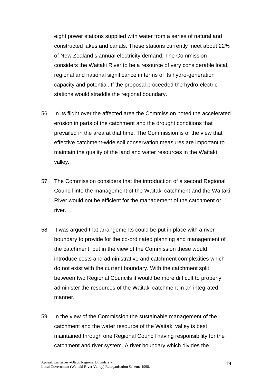eight power stations supplied with water from a series of natural and constructed lakes and canals. These stations currently meet about 22% of New Zealand's annual electricity demand. The Commission considers the Waitaki River to be a resource of very considerable local, regional and national significance in terms of its hydro-generation capacity and potential. If the proposal proceeded the hydro-electric stations would straddle the regional boundary.

- 56 In its flight over the affected area the Commission noted the accelerated erosion in parts of the catchment and the drought conditions that prevailed in the area at that time. The Commission is of the view that effective catchment-wide soil conservation measures are important to maintain the quality of the land and water resources in the Waitaki valley.
- 57 The Commission considers that the introduction of a second Regional Council into the management of the Waitaki catchment and the Waitaki River would not be efficient for the management of the catchment or river.
- 58 It was argued that arrangements could be put in place with a river boundary to provide for the co-ordinated planning and management of the catchment, but in the view of the Commission these would introduce costs and administrative and catchment complexities which do not exist with the current boundary. With the catchment split between two Regional Councils it would be more difficult to properly administer the resources of the Waitaki catchment in an integrated manner.
- 59 In the view of the Commission the sustainable management of the catchment and the water resource of the Waitaki valley is best maintained through one Regional Council having responsibility for the catchment and river system. A river boundary which divides the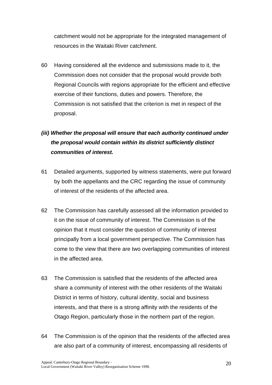catchment would not be appropriate for the integrated management of resources in the Waitaki River catchment.

60 Having considered all the evidence and submissions made to it, the Commission does not consider that the proposal would provide both Regional Councils with regions appropriate for the efficient and effective exercise of their functions, duties and powers. Therefore, the Commission is not satisfied that the criterion is met in respect of the proposal.

# *(iii) Whether the proposal will ensure that each authority continued under the proposal would contain within its district sufficiently distinct communities of interest.*

- 61 Detailed arguments, supported by witness statements, were put forward by both the appellants and the CRC regarding the issue of community of interest of the residents of the affected area.
- 62 The Commission has carefully assessed all the information provided to it on the issue of community of interest. The Commission is of the opinion that it must consider the question of community of interest principally from a local government perspective. The Commission has come to the view that there are two overlapping communities of interest in the affected area.
- 63 The Commission is satisfied that the residents of the affected area share a community of interest with the other residents of the Waitaki District in terms of history, cultural identity, social and business interests, and that there is a strong affinity with the residents of the Otago Region, particularly those in the northern part of the region.
- 64 The Commission is of the opinion that the residents of the affected area are also part of a community of interest, encompassing all residents of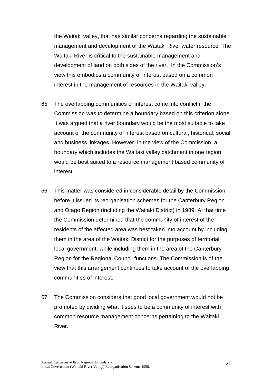the Waitaki valley, that has similar concerns regarding the sustainable management and development of the Waitaki River water resource. The Waitaki River is critical to the sustainable management and development of land on both sides of the river. In the Commission's view this embodies a community of interest based on a common interest in the management of resources in the Waitaki valley.

- 65 The overlapping communities of interest come into conflict if the Commission was to determine a boundary based on this criterion alone. It was argued that a river boundary would be the most suitable to take account of the community of interest based on cultural, historical, social and business linkages. However, in the view of the Commission, a boundary which includes the Waitaki valley catchment in one region would be best suited to a resource management based community of interest.
- 66 This matter was considered in considerable detail by the Commission before it issued its reorganisation schemes for the Canterbury Region and Otago Region (including the Waitaki District) in 1989. At that time the Commission determined that the community of interest of the residents of the affected area was best taken into account by including them in the area of the Waitaki District for the purposes of territorial local government, while including them in the area of the Canterbury Region for the Regional Council functions. The Commission is of the view that this arrangement continues to take account of the overlapping communities of interest.
- 67 The Commission considers that good local government would not be promoted by dividing what it sees to be a community of interest with common resource management concerns pertaining to the Waitaki River.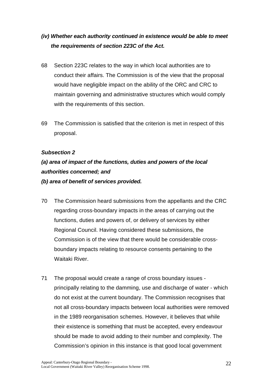# *(iv) Whether each authority continued in existence would be able to meet the requirements of section 223C of the Act.*

- 68 Section 223C relates to the way in which local authorities are to conduct their affairs. The Commission is of the view that the proposal would have negligible impact on the ability of the ORC and CRC to maintain governing and administrative structures which would comply with the requirements of this section.
- 69 The Commission is satisfied that the criterion is met in respect of this proposal.

### *Subsection 2*

# *(a) area of impact of the functions, duties and powers of the local authorities concerned; and*

#### *(b) area of benefit of services provided.*

- 70 The Commission heard submissions from the appellants and the CRC regarding cross-boundary impacts in the areas of carrying out the functions, duties and powers of, or delivery of services by either Regional Council. Having considered these submissions, the Commission is of the view that there would be considerable crossboundary impacts relating to resource consents pertaining to the Waitaki River.
- 71 The proposal would create a range of cross boundary issues principally relating to the damming, use and discharge of water - which do not exist at the current boundary. The Commission recognises that not all cross-boundary impacts between local authorities were removed in the 1989 reorganisation schemes. However, it believes that while their existence is something that must be accepted, every endeavour should be made to avoid adding to their number and complexity. The Commission's opinion in this instance is that good local government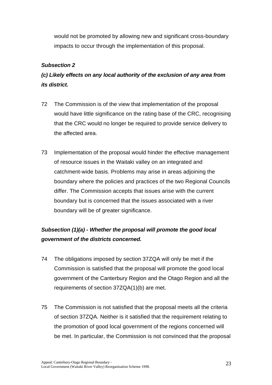would not be promoted by allowing new and significant cross-boundary impacts to occur through the implementation of this proposal.

### *Subsection 2*

# *(c) Likely effects on any local authority of the exclusion of any area from its district.*

- 72 The Commission is of the view that implementation of the proposal would have little significance on the rating base of the CRC, recognising that the CRC would no longer be required to provide service delivery to the affected area.
- 73 Implementation of the proposal would hinder the effective management of resource issues in the Waitaki valley on an integrated and catchment-wide basis. Problems may arise in areas adjoining the boundary where the policies and practices of the two Regional Councils differ. The Commission accepts that issues arise with the current boundary but is concerned that the issues associated with a river boundary will be of greater significance.

# *Subsection (1)(a) - Whether the proposal will promote the good local government of the districts concerned.*

- 74 The obligations imposed by section 37ZQA will only be met if the Commission is satisfied that the proposal will promote the good local government of the Canterbury Region and the Otago Region and all the requirements of section 37ZQA(1)(b) are met.
- 75 The Commission is not satisfied that the proposal meets all the criteria of section 37ZQA. Neither is it satisfied that the requirement relating to the promotion of good local government of the regions concerned will be met. In particular, the Commission is not convinced that the proposal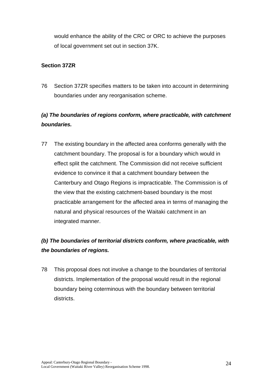would enhance the ability of the CRC or ORC to achieve the purposes of local government set out in section 37K.

### **Section 37ZR**

76 Section 37ZR specifies matters to be taken into account in determining boundaries under any reorganisation scheme.

## *(a) The boundaries of regions conform, where practicable, with catchment boundaries.*

77 The existing boundary in the affected area conforms generally with the catchment boundary. The proposal is for a boundary which would in effect split the catchment. The Commission did not receive sufficient evidence to convince it that a catchment boundary between the Canterbury and Otago Regions is impracticable. The Commission is of the view that the existing catchment-based boundary is the most practicable arrangement for the affected area in terms of managing the natural and physical resources of the Waitaki catchment in an integrated manner.

# *(b) The boundaries of territorial districts conform, where practicable, with the boundaries of regions.*

78 This proposal does not involve a change to the boundaries of territorial districts. Implementation of the proposal would result in the regional boundary being coterminous with the boundary between territorial districts.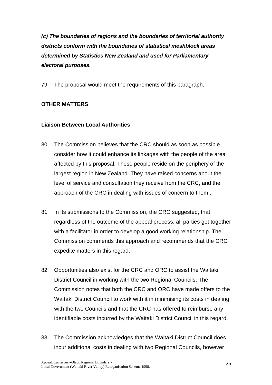*(c) The boundaries of regions and the boundaries of territorial authority districts conform with the boundaries of statistical meshblock areas determined by Statistics New Zealand and used for Parliamentary electoral purposes.*

79 The proposal would meet the requirements of this paragraph.

### **OTHER MATTERS**

### **Liaison Between Local Authorities**

- 80 The Commission believes that the CRC should as soon as possible consider how it could enhance its linkages with the people of the area affected by this proposal. These people reside on the periphery of the largest region in New Zealand. They have raised concerns about the level of service and consultation they receive from the CRC, and the approach of the CRC in dealing with issues of concern to them .
- 81 In its submissions to the Commission, the CRC suggested, that regardless of the outcome of the appeal process, all parties get together with a facilitator in order to develop a good working relationship. The Commission commends this approach and recommends that the CRC expedite matters in this regard.
- 82 Opportunities also exist for the CRC and ORC to assist the Waitaki District Council in working with the two Regional Councils. The Commission notes that both the CRC and ORC have made offers to the Waitaki District Council to work with it in minimising its costs in dealing with the two Councils and that the CRC has offered to reimburse any identifiable costs incurred by the Waitaki District Council in this regard.
- 83 The Commission acknowledges that the Waitaki District Council does incur additional costs in dealing with two Regional Councils, however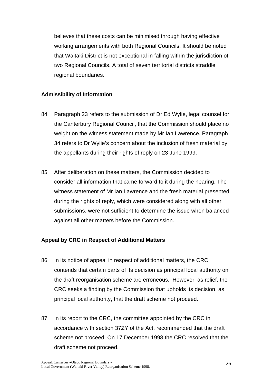believes that these costs can be minimised through having effective working arrangements with both Regional Councils. It should be noted that Waitaki District is not exceptional in falling within the jurisdiction of two Regional Councils. A total of seven territorial districts straddle regional boundaries.

#### **Admissibility of Information**

- 84 Paragraph 23 refers to the submission of Dr Ed Wylie, legal counsel for the Canterbury Regional Council, that the Commission should place no weight on the witness statement made by Mr Ian Lawrence. Paragraph 34 refers to Dr Wylie's concern about the inclusion of fresh material by the appellants during their rights of reply on 23 June 1999.
- 85 After deliberation on these matters, the Commission decided to consider all information that came forward to it during the hearing. The witness statement of Mr Ian Lawrence and the fresh material presented during the rights of reply, which were considered along with all other submissions, were not sufficient to determine the issue when balanced against all other matters before the Commission.

### **Appeal by CRC in Respect of Additional Matters**

- 86 In its notice of appeal in respect of additional matters, the CRC contends that certain parts of its decision as principal local authority on the draft reorganisation scheme are erroneous. However, as relief, the CRC seeks a finding by the Commission that upholds its decision, as principal local authority, that the draft scheme not proceed.
- 87 In its report to the CRC, the committee appointed by the CRC in accordance with section 37ZY of the Act, recommended that the draft scheme not proceed. On 17 December 1998 the CRC resolved that the draft scheme not proceed.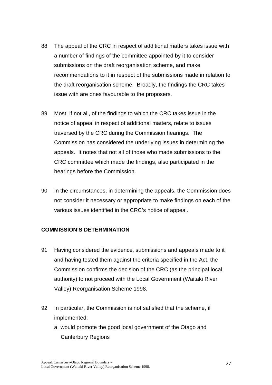- 88 The appeal of the CRC in respect of additional matters takes issue with a number of findings of the committee appointed by it to consider submissions on the draft reorganisation scheme, and make recommendations to it in respect of the submissions made in relation to the draft reorganisation scheme. Broadly, the findings the CRC takes issue with are ones favourable to the proposers.
- 89 Most, if not all, of the findings to which the CRC takes issue in the notice of appeal in respect of additional matters, relate to issues traversed by the CRC during the Commission hearings. The Commission has considered the underlying issues in determining the appeals. It notes that not all of those who made submissions to the CRC committee which made the findings, also participated in the hearings before the Commission.
- 90 In the circumstances, in determining the appeals, the Commission does not consider it necessary or appropriate to make findings on each of the various issues identified in the CRC's notice of appeal.

#### **COMMISSION'S DETERMINATION**

- 91 Having considered the evidence, submissions and appeals made to it and having tested them against the criteria specified in the Act, the Commission confirms the decision of the CRC (as the principal local authority) to not proceed with the Local Government (Waitaki River Valley) Reorganisation Scheme 1998.
- 92 In particular, the Commission is not satisfied that the scheme, if implemented:
	- a. would promote the good local government of the Otago and Canterbury Regions